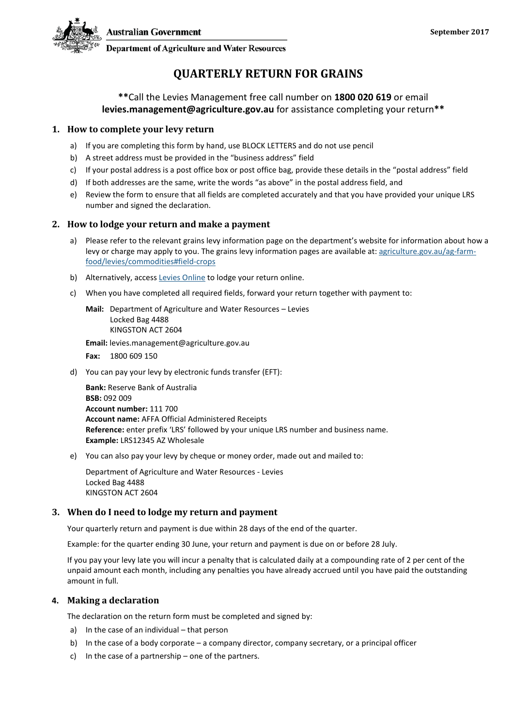



**Department of Agriculture and Water Resources** 

# **QUARTERLY RETURN FOR GRAINS**

## **\*\***Call the Levies Management free call number on **1800 020 619** or email **levies.management@agriculture.gov.au** for assistance completing your return**\*\***

#### **1. How to complete your levy return**

- a) If you are completing this form by hand, use BLOCK LETTERS and do not use pencil
- b) A street address must be provided in the "business address" field
- c) If your postal address is a post office box or post office bag, provide these details in the "postal address" field
- d) If both addresses are the same, write the words "as above" in the postal address field, and
- e) Review the form to ensure that all fields are completed accurately and that you have provided your unique LRS number and signed the declaration.

### **2. How to lodge your return and make a payment**

- a) Please refer to the relevant grains levy information page on the department's website for information about how a levy or charge may apply to you. The grains levy information pages are available at: [agriculture.gov.au/ag-farm](http://www.agriculture.gov.au/ag-farm-food/levies/commodities%23field-crops)[food/levies/commodities#field-crops](http://www.agriculture.gov.au/ag-farm-food/levies/commodities%23field-crops)
- b) Alternatively, access [Levies Online](https://leviesonline.agriculture.gov.au/LRSONLINE/LRSOL_Start/LRSOL_Home.aspx?ck=382142505790) to lodge your return online.
- c) When you have completed all required fields, forward your return together with payment to:

**Mail:** Department of Agriculture and Water Resources – Levies Locked Bag 4488 KINGSTON ACT 2604

**Email:** levies.management@agriculture.gov.au

**Fax:** 1800 609 150

d) You can pay your levy by electronic funds transfer (EFT):

**Bank:** Reserve Bank of Australia **BSB:** 092 009 **Account number:** 111 700 **Account name:** AFFA Official Administered Receipts **Reference:** enter prefix 'LRS' followed by your unique LRS number and business name. **Example:** LRS12345 AZ Wholesale

e) You can also pay your levy by cheque or money order, made out and mailed to:

Department of Agriculture and Water Resources - Levies Locked Bag 4488 KINGSTON ACT 2604

### **3. When do I need to lodge my return and payment**

Your quarterly return and payment is due within 28 days of the end of the quarter.

Example: for the quarter ending 30 June, your return and payment is due on or before 28 July.

If you pay your levy late you will incur a penalty that is calculated daily at a compounding rate of 2 per cent of the unpaid amount each month, including any penalties you have already accrued until you have paid the outstanding amount in full.

### **4. Making a declaration**

The declaration on the return form must be completed and signed by:

- a) In the case of an individual that person
- b) In the case of a body corporate a company director, company secretary, or a principal officer
- c) In the case of a partnership one of the partners.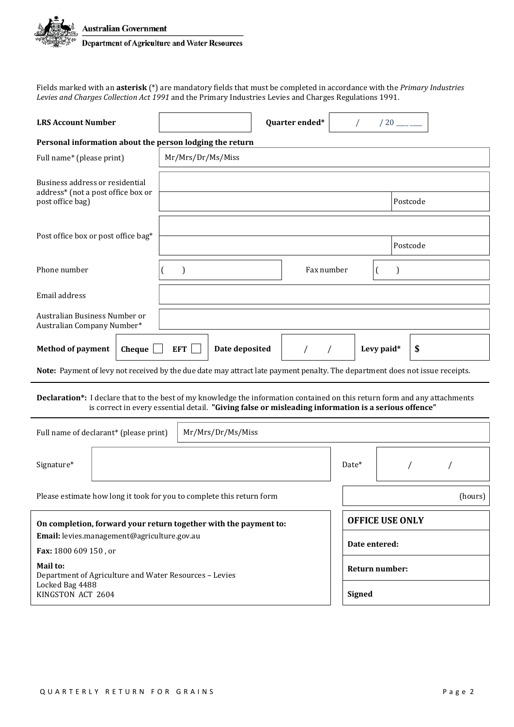

Fields marked with an **asterisk** (\*) are mandatory fields that must be completed in accordance with the *Primary Industries Levies and Charges Collection Act 1991* and the Primary Industries Levies and Charges Regulations 1991.

| <b>LRS Account Number</b>                                                                                                    |                                                                                                     | Quarter ended* |                        | $/20$ _____    |          |         |
|------------------------------------------------------------------------------------------------------------------------------|-----------------------------------------------------------------------------------------------------|----------------|------------------------|----------------|----------|---------|
| Personal information about the person lodging the return                                                                     |                                                                                                     |                |                        |                |          |         |
| Full name* (please print)                                                                                                    | Mr/Mrs/Dr/Ms/Miss                                                                                   |                |                        |                |          |         |
| Business address or residential<br>address* (not a post office box or<br>post office bag)                                    |                                                                                                     |                |                        |                | Postcode |         |
|                                                                                                                              |                                                                                                     |                |                        |                |          |         |
|                                                                                                                              |                                                                                                     |                |                        |                |          |         |
| Post office box or post office bag*                                                                                          |                                                                                                     |                |                        | Postcode       |          |         |
| Phone number                                                                                                                 | $\mathcal{E}$                                                                                       | Fax number     |                        |                |          |         |
| Email address                                                                                                                |                                                                                                     |                |                        |                |          |         |
| Australian Business Number or<br>Australian Company Number*                                                                  |                                                                                                     |                |                        |                |          |         |
| <b>Method of payment</b><br>Cheque                                                                                           | Date deposited<br><b>EFT</b>                                                                        | $\sqrt{2}$     | $\sqrt{2}$             | Levy paid*     | \$       |         |
| Note: Payment of levy not received by the due date may attract late payment penalty. The department does not issue receipts. |                                                                                                     |                |                        |                |          |         |
| Declaration*: I declare that to the best of my knowledge the information contained on this return form and any attachments   | is correct in every essential detail. "Giving false or misleading information is a serious offence" |                |                        |                |          |         |
| Full name of declarant* (please print)                                                                                       | Mr/Mrs/Dr/Ms/Miss                                                                                   |                |                        |                |          |         |
| Signature*                                                                                                                   |                                                                                                     |                | Date*                  |                |          |         |
| Please estimate how long it took for you to complete this return form                                                        |                                                                                                     |                |                        |                |          | (hours) |
| On completion, forward your return together with the payment to:                                                             |                                                                                                     |                | <b>OFFICE USE ONLY</b> |                |          |         |
| Email: levies.management@agriculture.gov.au                                                                                  |                                                                                                     |                |                        |                |          |         |
| Fax: 1800 609 150, or                                                                                                        |                                                                                                     |                |                        | Date entered:  |          |         |
| Mail to:<br>Department of Agriculture and Water Resources - Levies<br>Locked Bag 4488<br>KINGSTON ACT 2604                   |                                                                                                     |                | <b>Signed</b>          | Return number: |          |         |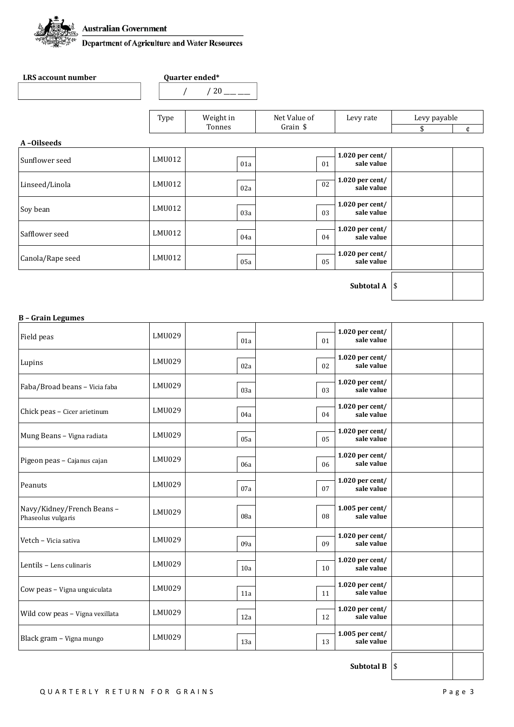

**LRS account number Quarter ended\*** 

|                                    | Type   | Weight in | Net Value of | Levy rate                     | Levy payable |   |
|------------------------------------|--------|-----------|--------------|-------------------------------|--------------|---|
|                                    |        | Tonnes    | Grain \$     |                               | \$           | ¢ |
| A-Oilseeds                         |        |           |              |                               |              |   |
| Sunflower seed                     | LMU012 | 01a       | 01           | 1.020 per cent/<br>sale value |              |   |
| Linseed/Linola                     | LMU012 | 02a       | 02           | 1.020 per cent/<br>sale value |              |   |
| Soy bean                           | LMU012 | 03a       | 03           | 1.020 per cent/<br>sale value |              |   |
|                                    | LMU012 | 04a       | 04           | 1.020 per cent/<br>sale value |              |   |
|                                    | LMU012 | 05a       | 05           | 1.020 per cent/<br>sale value |              |   |
| Safflower seed<br>Canola/Rape seed |        |           |              | Subtotal A<br>\$              |              |   |

#### **B – Grain Legumes**

| Field peas                                      | LMU029 | 01a | 01 | 1.020 per cent/<br>sale value   |    |
|-------------------------------------------------|--------|-----|----|---------------------------------|----|
| Lupins                                          | LMU029 | 02a | 02 | $1.020$ per cent/<br>sale value |    |
| Faba/Broad beans - Vicia faba                   | LMU029 | 03a | 03 | 1.020 per cent/<br>sale value   |    |
| Chick peas - Cicer arietinum                    | LMU029 | 04a | 04 | $1.020$ per cent/<br>sale value |    |
| Mung Beans - Vigna radiata                      | LMU029 | 05a | 05 | 1.020 per cent/<br>sale value   |    |
| Pigeon peas - Cajanus cajan                     | LMU029 | 06a | 06 | 1.020 per cent/<br>sale value   |    |
| Peanuts                                         | LMU029 | 07a | 07 | $1.020$ per cent/<br>sale value |    |
| Navy/Kidney/French Beans-<br>Phaseolus vulgaris | LMU029 | 08a | 08 | $1.005$ per cent/<br>sale value |    |
| Vetch - Vicia sativa                            | LMU029 | 09a | 09 | $1.020$ per cent/<br>sale value |    |
| Lentils - Lens culinaris                        | LMU029 | 10a | 10 | 1.020 per cent/<br>sale value   |    |
| Cow peas - Vigna unguiculata                    | LMU029 | 11a | 11 | 1.020 per cent/<br>sale value   |    |
| Wild cow peas - Vigna vexillata                 | LMU029 | 12a | 12 | $1.020$ per cent/<br>sale value |    |
| Black gram - Vigna mungo                        | LMU029 | 13a | 13 | 1.005 per cent/<br>sale value   |    |
|                                                 |        |     |    | <b>Subtotal B</b>               | \$ |

QUARTERLY RETURN FOR GRAINS Page 3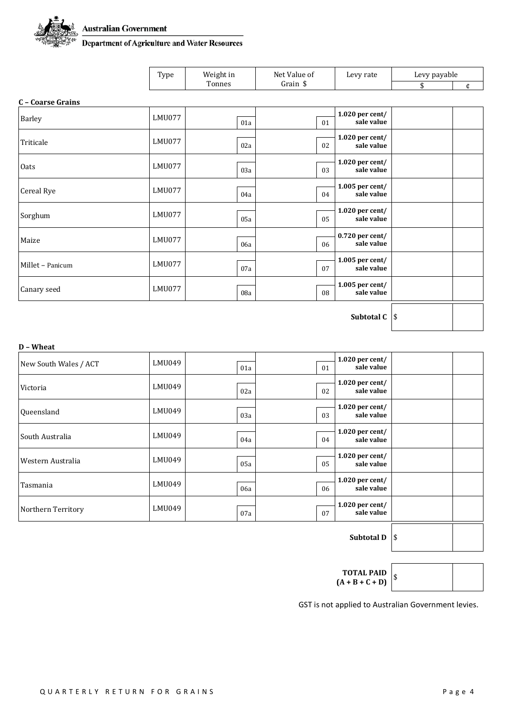

**Australian Government** 

**Australian Government<br>Department of Agriculture and Water Resources** 

| Type | Weight in | Net Value of | Levy rate | Levy payable |  |
|------|-----------|--------------|-----------|--------------|--|
|      | Tonnes    | Grain        |           | $\cdot$ n    |  |

#### **C – Coarse Grains**

| Barley           | LMU077 | 01a | 01 | 1.020 per cent/<br>sale value   |    |
|------------------|--------|-----|----|---------------------------------|----|
| Triticale        | LMU077 | 02a | 02 | 1.020 per cent/<br>sale value   |    |
| Oats             | LMU077 | 03a | 03 | $1.020$ per cent/<br>sale value |    |
| Cereal Rye       | LMU077 | 04a | 04 | 1.005 per cent/<br>sale value   |    |
| Sorghum          | LMU077 | 05a | 05 | $1.020$ per cent/<br>sale value |    |
| Maize            | LMU077 | 06a | 06 | $0.720$ per cent/<br>sale value |    |
| Millet - Panicum | LMU077 | 07a | 07 | 1.005 per cent/<br>sale value   |    |
| Canary seed      | LMU077 | 08a | 08 | 1.005 per cent/<br>sale value   |    |
|                  |        |     |    | Subtotal C                      | \$ |

| D - Wheat             |        |     |     |                                 |  |
|-----------------------|--------|-----|-----|---------------------------------|--|
| New South Wales / ACT | LMU049 | 01a | 01  | $1.020$ per cent/<br>sale value |  |
| Victoria              | LMU049 | 02a | 02  | $1.020$ per cent/<br>sale value |  |
| Queensland            | LMU049 | 03a | 03  | $1.020$ per cent/<br>sale value |  |
| South Australia       | LMU049 | 04a | 04  | $1.020$ per cent/<br>sale value |  |
| Western Australia     | LMU049 | 05a | 0.5 | $1.020$ per cent/<br>sale value |  |
| Tasmania              | LMU049 | 06a | 06  | $1.020$ per cent/<br>sale value |  |
| Northern Territory    | LMU049 | 07a | 07  | $1.020$ per cent/<br>sale value |  |
|                       |        |     |     |                                 |  |

**Subtotal D**  $\left| \text{\$} \right|$ 

| <b>TOTAL PAID</b><br>$(A + B + C + D)$ |  |
|----------------------------------------|--|
|                                        |  |

GST is not applied to Australian Government levies.